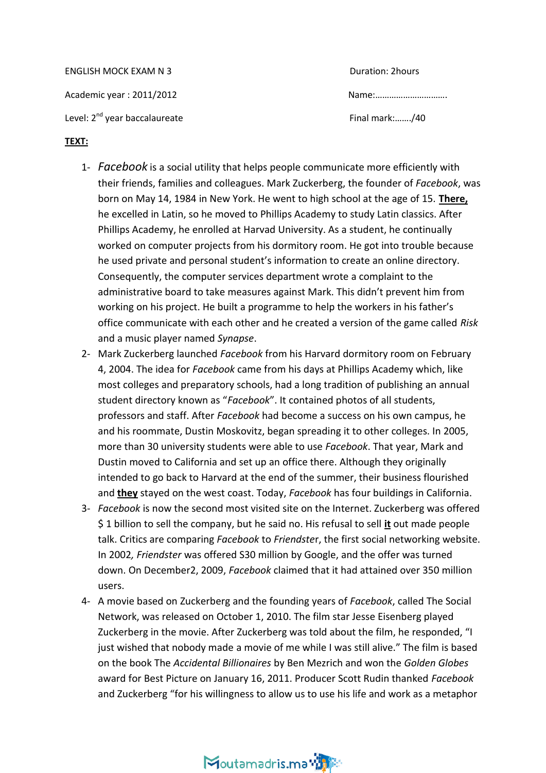ENGLISH MOCK EXAM N 3 Academic year : 2011/2012 Level:  $2^{nd}$  year baccalaureate  $\blacksquare$ 

| Duration: 2hours |  |
|------------------|--|
| Name:            |  |

### **TEXT:**

- 1- *Facebook* is a social utility that helps people communicate more efficiently with their friends, families and colleagues. Mark Zuckerberg, the founder of *Facebook*, was born on May 14, 1984 in New York. He went to high school at the age of 15. **There,** he excelled in Latin, so he moved to Phillips Academy to study Latin classics. After Phillips Academy, he enrolled at Harvad University. As a student, he continually worked on computer projects from his dormitory room. He got into trouble because he used private and personal student's information to create an online directory. Consequently, the computer services department wrote a complaint to the administrative board to take measures against Mark. This didn't prevent him from working on his project. He built a programme to help the workers in his father's office communicate with each other and he created a version of the game called *Risk*  and a music player named *Synapse*.
- 2- Mark Zuckerberg launched *Facebook* from his Harvard dormitory room on February 4, 2004. The idea for *Facebook* came from his days at Phillips Academy which, like most colleges and preparatory schools, had a long tradition of publishing an annual student directory known as "*Facebook*". It contained photos of all students, professors and staff. After *Facebook* had become a success on his own campus, he and his roommate, Dustin Moskovitz, began spreading it to other colleges. In 2005, more than 30 university students were able to use *Facebook*. That year, Mark and Dustin moved to California and set up an office there. Although they originally intended to go back to Harvard at the end of the summer, their business flourished and **they** stayed on the west coast. Today, *Facebook* has four buildings in California.
- 3- *Facebook* is now the second most visited site on the Internet. Zuckerberg was offered \$ 1 billion to sell the company, but he said no. His refusal to sell **it** out made people talk. Critics are comparing *Facebook* to *Friendste*r, the first social networking website. In 2002*, Friendster* was offered S30 million by Google, and the offer was turned down. On December2, 2009, *Facebook* claimed that it had attained over 350 million users.
- 4- A movie based on Zuckerberg and the founding years of *Facebook*, called The Social Network, was released on October 1, 2010. The film star Jesse Eisenberg played Zuckerberg in the movie. After Zuckerberg was told about the film, he responded, "I just wished that nobody made a movie of me while I was still alive." The film is based on the book The *Accidental Billionaires* by Ben Mezrich and won the *Golden Globes* award for Best Picture on January 16, 2011. Producer Scott Rudin thanked *Facebook*  and Zuckerberg "for his willingness to allow us to use his life and work as a metaphor

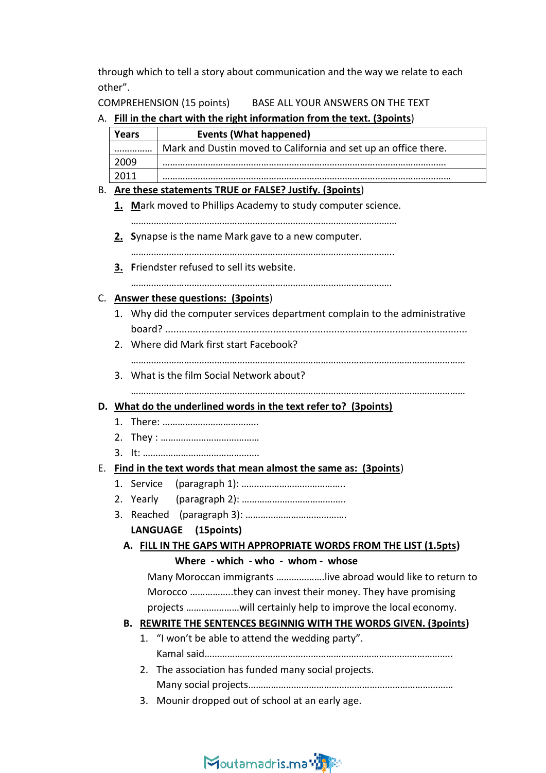through which to tell a story about communication and the way we relate to each other".

COMPREHENSION (15 points) BASE ALL YOUR ANSWERS ON THE TEXT

|  | A. Fill in the chart with the right information from the text. (3points)   |            |                                                                          |  |  |
|--|----------------------------------------------------------------------------|------------|--------------------------------------------------------------------------|--|--|
|  | <b>Years</b>                                                               |            | <b>Events (What happened)</b>                                            |  |  |
|  |                                                                            |            | Mark and Dustin moved to California and set up an office there.          |  |  |
|  | 2009                                                                       |            |                                                                          |  |  |
|  | 2011                                                                       |            |                                                                          |  |  |
|  |                                                                            |            | B. Are these statements TRUE or FALSE? Justify. (3points)                |  |  |
|  | 1. Mark moved to Phillips Academy to study computer science.               |            |                                                                          |  |  |
|  |                                                                            |            |                                                                          |  |  |
|  |                                                                            |            | 2. Synapse is the name Mark gave to a new computer.                      |  |  |
|  |                                                                            |            |                                                                          |  |  |
|  |                                                                            |            | 3. Friendster refused to sell its website.                               |  |  |
|  |                                                                            |            |                                                                          |  |  |
|  | C. Answer these questions: (3points)                                       |            |                                                                          |  |  |
|  | 1. Why did the computer services department complain to the administrative |            |                                                                          |  |  |
|  |                                                                            |            |                                                                          |  |  |
|  | 2. Where did Mark first start Facebook?                                    |            |                                                                          |  |  |
|  |                                                                            |            |                                                                          |  |  |
|  |                                                                            |            | 3. What is the film Social Network about?                                |  |  |
|  |                                                                            |            |                                                                          |  |  |
|  |                                                                            |            | D. What do the underlined words in the text refer to? (3points)          |  |  |
|  | 1.                                                                         |            |                                                                          |  |  |
|  |                                                                            |            |                                                                          |  |  |
|  |                                                                            |            |                                                                          |  |  |
|  |                                                                            |            | E. Find in the text words that mean almost the same as: (3points)        |  |  |
|  |                                                                            | 1. Service |                                                                          |  |  |
|  |                                                                            | 2. Yearly  |                                                                          |  |  |
|  |                                                                            |            |                                                                          |  |  |
|  |                                                                            |            | LANGUAGE (15points)                                                      |  |  |
|  | A. FILL IN THE GAPS WITH APPROPRIATE WORDS FROM THE LIST (1.5pts)          |            |                                                                          |  |  |
|  | Where - which - who - whom - whose                                         |            |                                                                          |  |  |
|  |                                                                            |            | Many Moroccan immigrants live abroad would like to return to             |  |  |
|  |                                                                            |            | Morocco they can invest their money. They have promising                 |  |  |
|  |                                                                            |            |                                                                          |  |  |
|  |                                                                            |            | <b>B. REWRITE THE SENTENCES BEGINNIG WITH THE WORDS GIVEN. (3points)</b> |  |  |
|  |                                                                            |            | 1. "I won't be able to attend the wedding party".                        |  |  |
|  |                                                                            |            |                                                                          |  |  |
|  |                                                                            |            | 2. The association has funded many social projects.                      |  |  |
|  |                                                                            |            |                                                                          |  |  |
|  |                                                                            |            | 3. Mounir dropped out of school at an early age.                         |  |  |
|  |                                                                            |            |                                                                          |  |  |
|  |                                                                            |            |                                                                          |  |  |
|  |                                                                            |            |                                                                          |  |  |

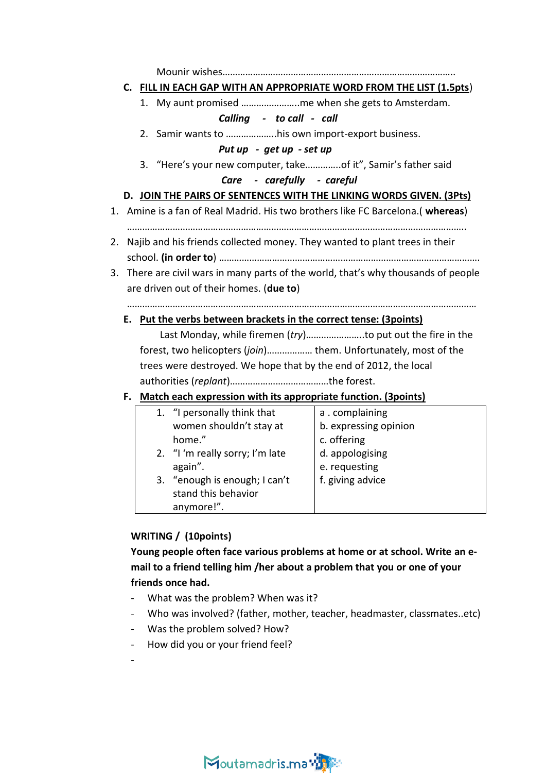Mounir wishes………………………………………………………………………………..

### **C. FILL IN EACH GAP WITH AN APPROPRIATE WORD FROM THE LIST (1.5pts**)

1. My aunt promised …………………..me when she gets to Amsterdam.

# *Calling - to call - call*

2. Samir wants to ………………..his own import-export business.

### *Put up - get up - set up*

3. "Here's your new computer, take…………..of it", Samir's father said

## *Care - carefully - careful*

## **D. JOIN THE PAIRS OF SENTENCES WITH THE LINKING WORDS GIVEN. (3Pts)**

- 1. Amine is a fan of Real Madrid. His two brothers like FC Barcelona.( **whereas**)
	- ……………………………………………………………………………………………………………………..
- 2. Najib and his friends collected money. They wanted to plant trees in their school. **(in order to**) ………………………………………………………………………………………….
- 3. There are civil wars in many parts of the world, that's why thousands of people are driven out of their homes. (**due to**)

…………………………………………………………………………………………………………………………

**E. Put the verbs between brackets in the correct tense: (3points)**

 Last Monday, while firemen (*try*)…………………..to put out the fire in the forest, two helicopters (*join*)……………… them. Unfortunately, most of the trees were destroyed. We hope that by the end of 2012, the local authorities (*replant*)…………………………………the forest.

## **F. Match each expression with its appropriate function. (3points)**

| 1. "I personally think that     | a.complaining         |
|---------------------------------|-----------------------|
| women shouldn't stay at         | b. expressing opinion |
| home."                          | c. offering           |
| 2. "I 'm really sorry; I'm late | d. appologising       |
| again".                         | e. requesting         |
| 3. "enough is enough; I can't   | f. giving advice      |
| stand this behavior             |                       |
| anymore!".                      |                       |

# **WRITING / (10points)**

**Young people often face various problems at home or at school. Write an email to a friend telling him /her about a problem that you or one of your friends once had.**

- What was the problem? When was it?
- Who was involved? (father, mother, teacher, headmaster, classmates..etc)
- Was the problem solved? How?
- How did you or your friend feel?
- -